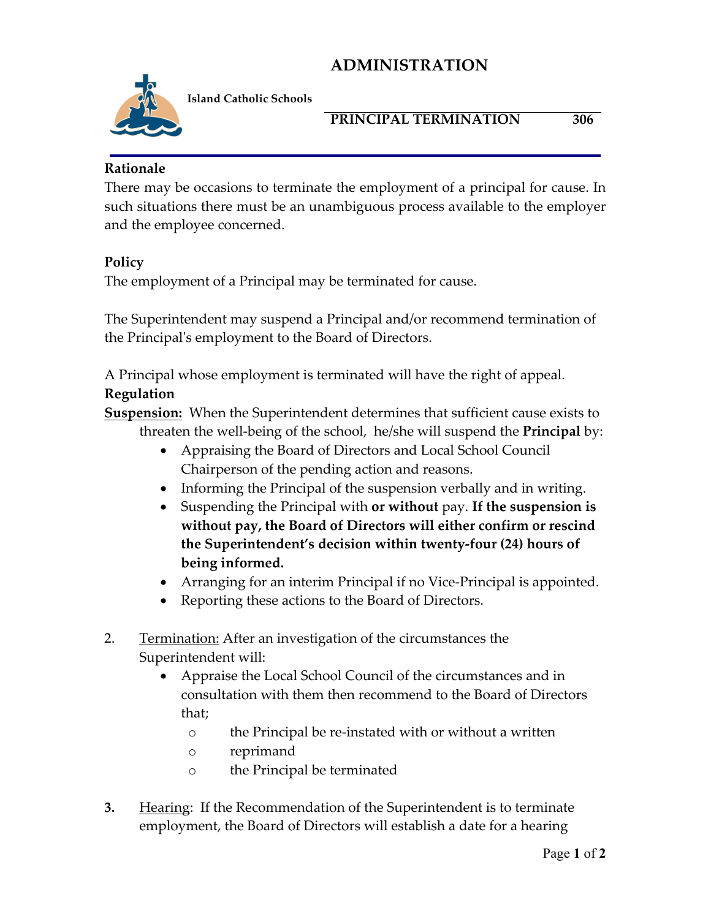# **ADMINISTRATION**



**Island Catholic Schools** 

### **PRINCIPAL TERMINATION 306**

**Rationale**

There may be occasions to terminate the employment of a principal for cause. In such situations there must be an unambiguous process available to the employer and the employee concerned.

### **Policy**

The employment of a Principal may be terminated for cause.

The Superintendent may suspend a Principal and/or recommend termination of the Principal's employment to the Board of Directors.

A Principal whose employment is terminated will have the right of appeal.

### **Regulation**

**Suspension:** When the Superintendent determines that sufficient cause exists to threaten the well-being of the school, he/she will suspend the **Principal** by:

- Appraising the Board of Directors and Local School Council Chairperson of the pending action and reasons.
- Informing the Principal of the suspension verbally and in writing.
- Suspending the Principal with **or without** pay. **If the suspension is without pay, the Board of Directors will either confirm or rescind the Superintendent's decision within twenty-four (24) hours of being informed.**
- Arranging for an interim Principal if no Vice-Principal is appointed.
- Reporting these actions to the Board of Directors.
- 2. Termination: After an investigation of the circumstances the Superintendent will:
	- Appraise the Local School Council of the circumstances and in consultation with them then recommend to the Board of Directors that;
		- o the Principal be re-instated with or without a written
		- o reprimand
		- o the Principal be terminated
- **3.** Hearing: If the Recommendation of the Superintendent is to terminate employment, the Board of Directors will establish a date for a hearing